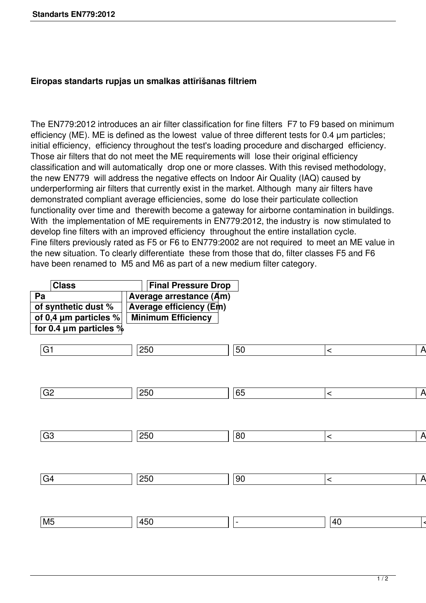## **Eiropas standarts rupjas un smalkas attīrīšanas filtriem**

The EN779:2012 introduces an air filter classification for fine filters F7 to F9 based on minimum efficiency (ME). ME is defined as the lowest value of three different tests for 0.4 μm particles; initial efficiency, efficiency throughout the test's loading procedure and discharged efficiency. Those air filters that do not meet the ME requirements will lose their original efficiency classification and will automatically drop one or more classes. With this revised methodology, the new EN779 will address the negative effects on Indoor Air Quality (IAQ) caused by underperforming air filters that currently exist in the market. Although many air filters have demonstrated compliant average efficiencies, some do lose their particulate collection functionality over time and therewith become a gateway for airborne contamination in buildings. With the implementation of ME requirements in EN779:2012, the industry is now stimulated to develop fine filters with an improved efficiency throughout the entire installation cycle. Fine filters previously rated as F5 or F6 to EN779:2002 are not required to meet an ME value in the new situation. To clearly differentiate these from those that do, filter classes F5 and F6 have been renamed to M5 and M6 as part of a new medium filter category.

| <b>Class</b>                | <b>Final Pressure Drop</b>     |                 |       |                |
|-----------------------------|--------------------------------|-----------------|-------|----------------|
| Pa                          | <b>Average arrestance (Am)</b> |                 |       |                |
| of synthetic dust %         | <b>Average efficiency (Em)</b> |                 |       |                |
| of 0,4 µm particles %       | <b>Minimum Efficiency</b>      |                 |       |                |
| for 0.4 $\mu$ m particles % |                                |                 |       |                |
| $\boxed{G1}$                | 250                            | $\overline{50}$ | $\,<$ | $\overline{A}$ |
|                             |                                |                 |       |                |
|                             |                                |                 |       |                |
| $\sqrt{G2}$                 | 250                            | 65              | $\,<$ | $\overline{A}$ |
|                             |                                |                 |       |                |
|                             |                                |                 |       |                |
| $\sqrt{G3}$                 | 250                            | 80              | $\,<$ | $\overline{A}$ |
|                             |                                |                 |       |                |
|                             |                                |                 |       |                |
|                             |                                |                 |       |                |
| $\sqrt{G4}$                 | 250                            | $\boxed{90}$    | $\,<$ | $\overline{A}$ |
|                             |                                |                 |       |                |
|                             |                                |                 |       |                |
| M <sub>5</sub>              | 450                            | $\equiv$        | 40    |                |